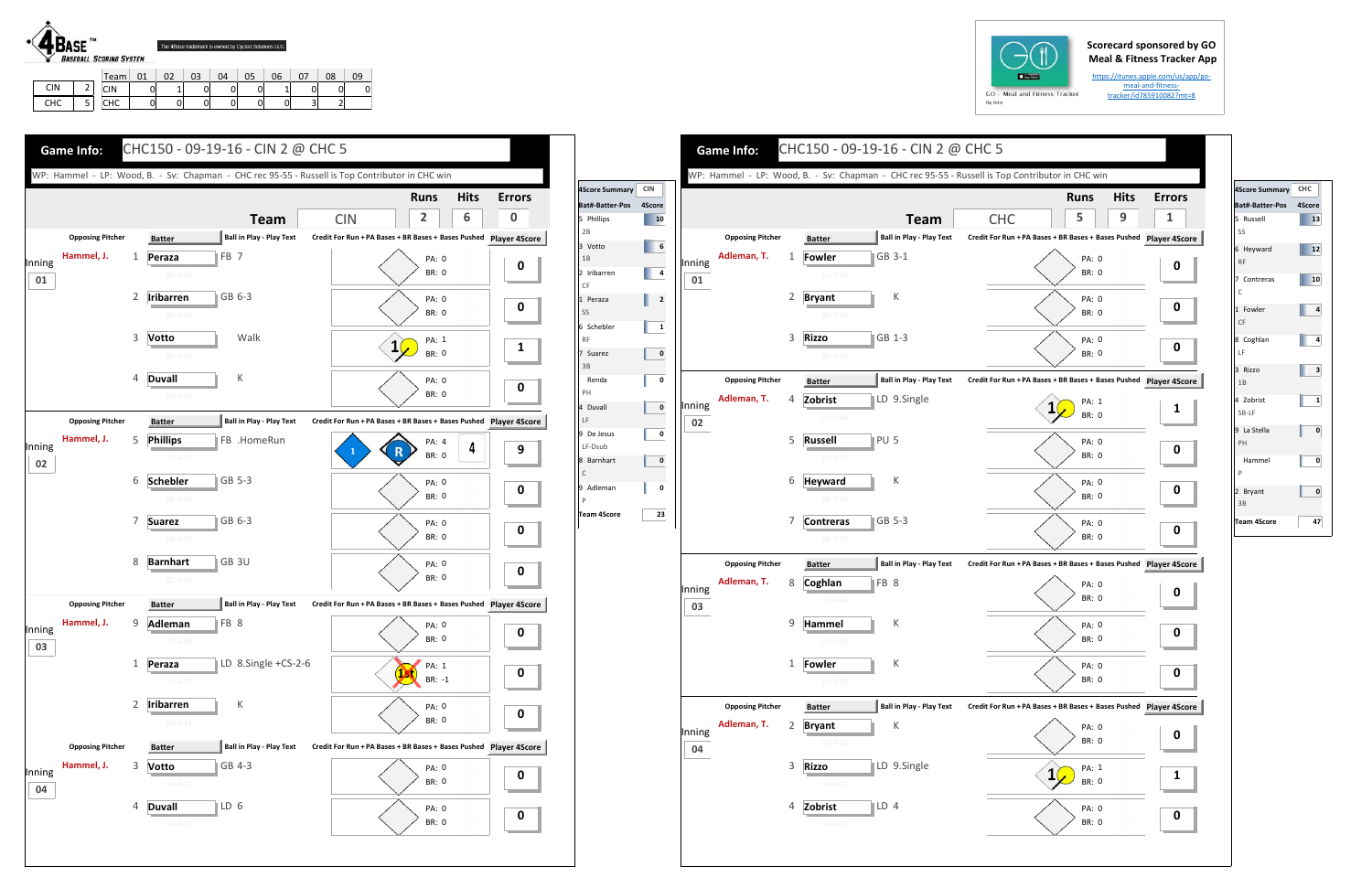## **Scorecard sponsored by GO Meal & Fitness Tracker App**

https://itunes.apple.com/us/app/go‐ meal‐and‐fitness‐ tracker/id785910082?mt=8



|            |   | Team       | Λ1 | 02           | 03 | $\Omega$ | 05 | 06 |   | 08 | 09 |
|------------|---|------------|----|--------------|----|----------|----|----|---|----|----|
| <b>CIN</b> |   | CIN        |    | $\mathbf{A}$ | 0  |          |    |    |   | 0  |    |
| CHC        | ٮ | <b>CHC</b> |    | 0            | 0  |          | 0  | υ  | پ |    |    |



|              |                                        |   |                                |                 |                                                | WP: Hammel - LP: Wood, B. - Sv: Chapman - CHC rec 95-55 - Russell is Top Contributor in CHC win |                       | <b>Hits</b> |
|--------------|----------------------------------------|---|--------------------------------|-----------------|------------------------------------------------|-------------------------------------------------------------------------------------------------|-----------------------|-------------|
|              |                                        |   |                                |                 |                                                |                                                                                                 | <b>Runs</b><br>5      | $9\,$       |
|              |                                        |   |                                |                 | <b>Team</b><br><b>Ball in Play - Play Text</b> | <b>CHC</b>                                                                                      |                       |             |
|              | <b>Opposing Pitcher</b><br>Adleman, T. |   | <b>Batter</b>                  |                 | GB 3-1                                         | Credit For Run + PA Bases + BR Bases + Bases Pushed Player 4S                                   |                       |             |
| Inning       |                                        | 1 | <b>Fowler</b><br>$01 - H - 01$ |                 |                                                |                                                                                                 | PA: 0<br><b>BR: 0</b> |             |
| 01           |                                        |   |                                |                 |                                                |                                                                                                 |                       |             |
|              |                                        | 2 | <b>Bryant</b>                  |                 | К                                              |                                                                                                 | PA: 0<br><b>BR: 0</b> |             |
|              |                                        |   | $01-H-02$                      |                 |                                                |                                                                                                 |                       |             |
|              |                                        | 3 | <b>Rizzo</b>                   |                 | GB 1-3                                         |                                                                                                 | PA: 0<br>BR: 0        |             |
|              |                                        |   | $01 - H - 03$                  |                 |                                                |                                                                                                 |                       |             |
|              | <b>Opposing Pitcher</b>                |   | <b>Batter</b>                  |                 | <b>Ball in Play - Play Text</b>                | Credit For Run + PA Bases + BR Bases + Bases Pushed Player 4S                                   |                       |             |
| Inning       | Adleman, T.                            | 4 | Zobrist                        |                 | LD 9.Single                                    |                                                                                                 | PA: 1                 |             |
| 02           |                                        |   | $02 - H - 04$                  |                 |                                                |                                                                                                 | <b>BR: 0</b>          |             |
|              |                                        | 5 | <b>Russell</b>                 | PU <sub>5</sub> |                                                |                                                                                                 | PA: 0                 |             |
|              |                                        |   | $02-H-05$                      |                 |                                                |                                                                                                 | <b>BR: 0</b>          |             |
|              |                                        | 6 | <b>Heyward</b>                 |                 | К                                              |                                                                                                 | PA: 0                 |             |
|              |                                        |   | $02 - H - 06$                  |                 |                                                |                                                                                                 | <b>BR: 0</b>          |             |
|              |                                        | 7 | <b>Contreras</b>               |                 | $\blacksquare$ GB 5-3                          |                                                                                                 | <b>PA: 0</b>          |             |
|              |                                        |   | $02-H-07$                      |                 |                                                |                                                                                                 | <b>BR: 0</b>          |             |
|              | <b>Opposing Pitcher</b>                |   | <b>Batter</b>                  |                 | <b>Ball in Play - Play Text</b>                | Credit For Run + PA Bases + BR Bases + Bases Pushed Player 4S                                   |                       |             |
|              | Adleman, T.                            | 8 | Coghlan                        | <b>IFB</b> 8    |                                                |                                                                                                 | PA: 0                 |             |
| Inning<br>03 |                                        |   | $03-H-08$                      |                 |                                                |                                                                                                 | <b>BR: 0</b>          |             |
|              |                                        | 9 | Hammel                         |                 | К                                              |                                                                                                 | PA: 0                 |             |
|              |                                        |   | 03-H-09                        |                 |                                                |                                                                                                 | <b>BR: 0</b>          |             |
|              |                                        | 1 | Fowler                         |                 | К                                              |                                                                                                 | PA: 0                 |             |
|              |                                        |   | $03 - H - 10$                  |                 |                                                |                                                                                                 | BR: 0                 |             |
|              | <b>Opposing Pitcher</b>                |   | <b>Batter</b>                  |                 | <b>Ball in Play - Play Text</b>                | Credit For Run + PA Bases + BR Bases + Bases Pushed Player 4S                                   |                       |             |
|              | Adleman, T.                            | 2 | <b>Bryant</b>                  |                 | К                                              |                                                                                                 | PA: 0                 |             |
| Inning       |                                        |   | $04 - H - 11$                  |                 |                                                |                                                                                                 | BR: 0                 |             |
| 04           |                                        | 3 | <b>Rizzo</b>                   |                 | LD 9.Single                                    |                                                                                                 |                       |             |
|              |                                        |   | $04 - H - 12$                  |                 |                                                |                                                                                                 | PA: 1<br><b>BR: 0</b> |             |
|              |                                        |   |                                |                 |                                                |                                                                                                 |                       |             |





| 4Score Summary CHC          |    |
|-----------------------------|----|
| Bat#-Batter-Pos 4Score      |    |
| 5 Russell                   | 13 |
| SS                          |    |
| 6 Heyward<br><b>RF</b>      | 12 |
| 7 Contreras<br>$\mathsf{C}$ | 10 |
| 1 Fowler<br>CF              | 4  |
| 8 Coghlan<br>LF             | 4  |
| 3 Rizzo<br>1B               | 3  |
| 4 Zobrist<br>SB-LF          | 1  |
| 9 La Stella<br>PH           | 0  |
| Hammel<br>P                 | 0  |
| 2 Bryant<br>3B              | 0  |
| <b>Team 4Score</b>          | 47 |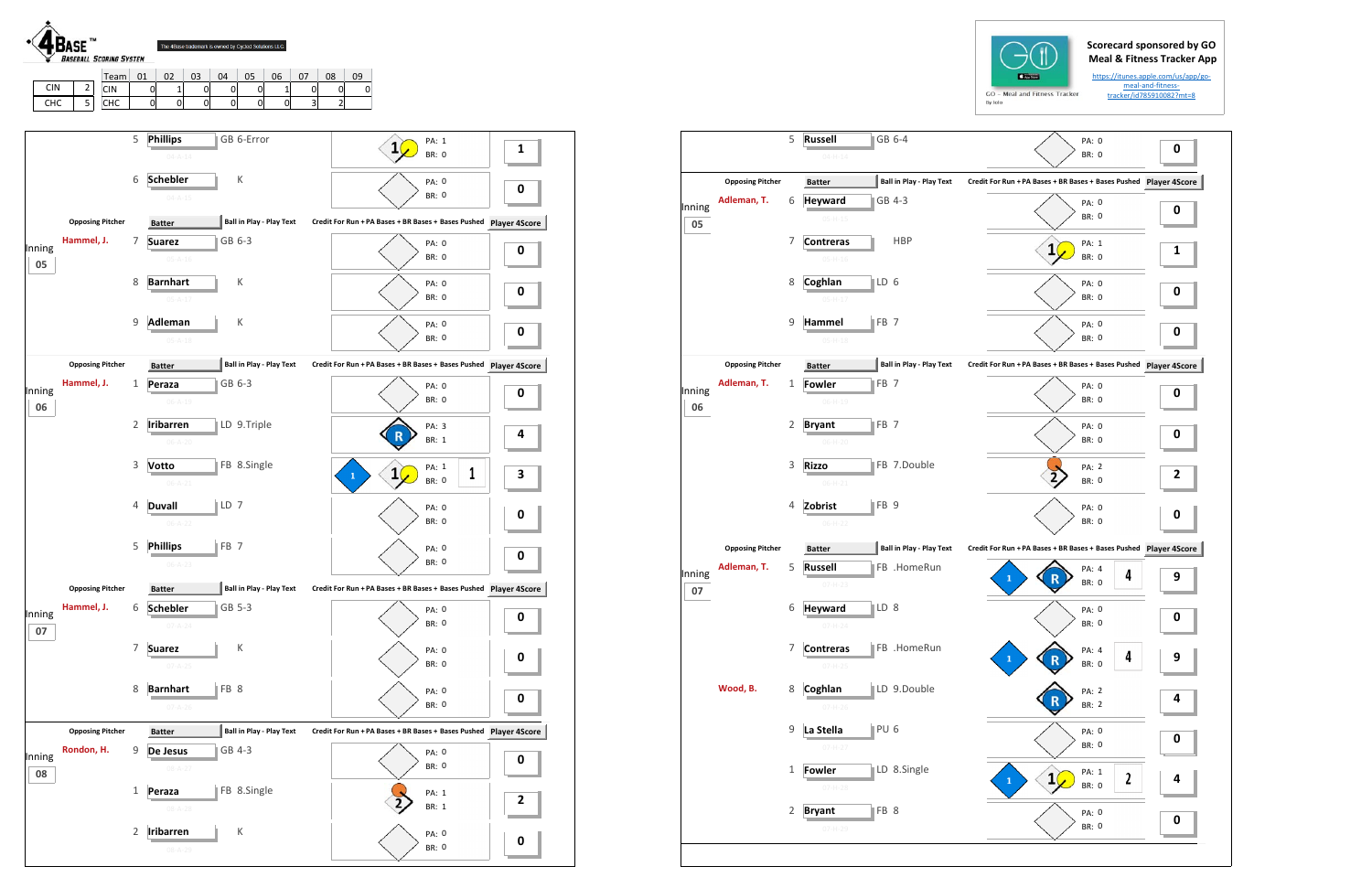## **Scorecard sponsored by GO Meal & Fitness Tracker App**

https://itunes.apple.com/us/app/go‐ meal‐and‐fitness‐ tracker/id785910082?mt=8

|              |                         | 5            | GB 6-4<br><b>Russell</b><br>$04 - H - 14$         | PA: 0<br><b>BR: 0</b>                                         | 0         |
|--------------|-------------------------|--------------|---------------------------------------------------|---------------------------------------------------------------|-----------|
|              | <b>Opposing Pitcher</b> |              | <b>Ball in Play - Play Text</b><br><b>Batter</b>  | Credit For Run + PA Bases + BR Bases + Bases Pushed Player 4S |           |
| Inning<br>05 | Adleman, T.             | 6            | GB 4-3<br><b>Heyward</b><br>$05 - H - 15$         | PA: 0<br><b>BR: 0</b>                                         | 0         |
|              |                         | 7            | <b>HBP</b><br><b>Contreras</b><br>$05-H-16$       | PA: 1<br>1<br><b>BR: 0</b>                                    | 1         |
|              |                         | 8            | LD 6<br>Coghlan<br>$05-H-17$                      | PA: 0<br>BR: 0                                                | 0         |
|              |                         | 9            | FB <sub>7</sub><br>Hammel<br>$05 - H - 18$        | <b>PA: 0</b><br>BR: 0                                         | 0         |
|              | <b>Opposing Pitcher</b> |              | <b>Ball in Play - Play Text</b><br><b>Batter</b>  | Credit For Run + PA Bases + BR Bases + Bases Pushed Player 4S |           |
| Inning<br>06 | Adleman, T.             | 1            | <b>Fowler</b><br>FB <sub>7</sub><br>$06 - H - 19$ | PA: 0<br><b>BR: 0</b>                                         | 0         |
|              |                         | 2            | FB <sub>7</sub><br><b>Bryant</b><br>06-H-20       | PA: 0<br>BR: 0                                                | 0         |
|              |                         | 3            | FB 7.Double<br><b>Rizzo</b><br>$06 - H - 21$      | PA: 2<br><b>BR: 0</b>                                         | 2         |
|              |                         | 4            | FB <sub>9</sub><br>Zobrist<br>$06-H-22$           | PA: 0<br><b>BR: 0</b>                                         | 0         |
|              | <b>Opposing Pitcher</b> |              | <b>Ball in Play - Play Text</b><br><b>Batter</b>  | Credit For Run + PA Bases + BR Bases + Bases Pushed           | Player 4S |
| Inning<br>07 | Adleman, T.             | 5            | FB .HomeRun<br><b>Russell</b><br>$07-H-23$        | PA: 4<br>4<br>1<br><b>BR: 0</b>                               | 9         |
|              |                         | 6            | <b>Heyward</b><br>LD <sub>8</sub>                 | PA: 0<br><b>BR: 0</b>                                         | 0         |
|              |                         | 7            | <b>Contreras</b><br>FB .HomeRun<br>$07 - H - 25$  | PA: 4<br>4<br>BR: 0                                           | 9         |
|              | Wood, B.                | 8            | LD 9.Double<br>Coghlan<br>$07 - H - 26$           | PA: 2<br>BR: 2                                                | 4         |
|              |                         | 9            | PU <sub>6</sub><br>La Stella<br>$07 - H - 27$     | PA: 0<br><b>BR: 0</b>                                         | 0         |
|              |                         | $\mathbf{1}$ | LD 8.Single<br><b>Fowler</b><br>$07 - H - 28$     | PA: 1<br>$\mathbf{1}$<br>2<br>1<br><b>BR: 0</b>               | 4         |
|              |                         | 2            | FB 8<br><b>Bryant</b><br>$07 - H - 29$            | PA: 0<br><b>BR: 0</b>                                         | 0         |